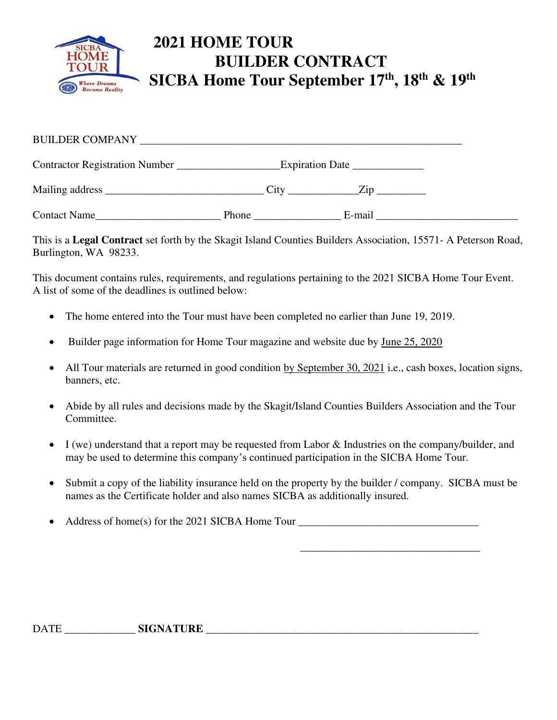

| <b>BUILDER COMPANY</b> |                 |  |        |  |  |
|------------------------|-----------------|--|--------|--|--|
|                        | Expiration Date |  |        |  |  |
|                        | City            |  | Zip    |  |  |
| Contact Name           | Phone           |  | E-mail |  |  |

This is a **Legal Contract** set forth by the Skagit Island Counties Builders Association, 15571- A Peterson Road, Burlington, WA 98233.

This document contains rules, requirements, and regulations pertaining to the 2021 SICBA Home Tour Event. A list of some of the deadlines is outlined below:

- The home entered into the Tour must have been completed no earlier than June 19, 2019.
- Builder page information for Home Tour magazine and website due by June 25, 2020
- All Tour materials are returned in good condition by September 30, 2021 i.e., cash boxes, location signs, banners, etc.
- Abide by all rules and decisions made by the Skagit/Island Counties Builders Association and the Tour Committee.
- I (we) understand that a report may be requested from Labor & Industries on the company/builder, and may be used to determine this company's continued participation in the SICBA Home Tour.
- Submit a copy of the liability insurance held on the property by the builder / company. SICBA must be names as the Certificate holder and also names SICBA as additionally insured.

 $\overline{\phantom{a}}$  , and the contract of the contract of the contract of the contract of the contract of the contract of the contract of the contract of the contract of the contract of the contract of the contract of the contrac

Address of home(s) for the 2021 SICBA Home Tour